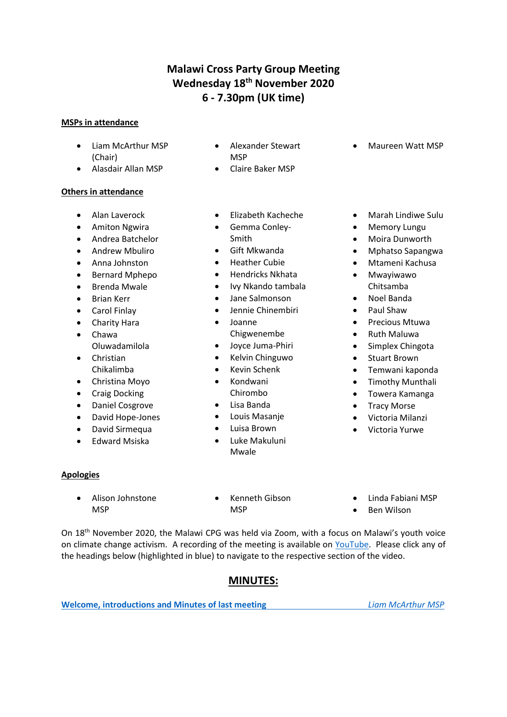# **Malawi Cross Party Group Meeting Wednesday 18th November 2020 6 - 7.30pm (UK time)**

### **MSPs in attendance**

- Liam McArthur MSP (Chair)
- Alasdair Allan MSP

### **Others in attendance**

- Alan Laverock
- Amiton Ngwira
- Andrea Batchelor
- Andrew Mbuliro
- Anna Johnston
- Bernard Mphepo
- Brenda Mwale
- Brian Kerr
- Carol Finlay
- Charity Hara
- Chawa Oluwadamilola
- Christian Chikalimba
- Christina Moyo
- Craig Docking
- Daniel Cosgrove
- David Hope-Jones
- David Sirmequa
- Edward Msiska
- Alexander Stewart **MSP**
- Claire Baker MSP
- Elizabeth Kacheche
- Gemma Conley-Smith
- Gift Mkwanda
- Heather Cubie
- Hendricks Nkhata
- Ivy Nkando tambala
- Jane Salmonson
- Jennie Chinembiri
- Joanne Chigwenembe
- Joyce Juma-Phiri
- Kelvin Chinguwo
- Kevin Schenk
- Kondwani
- Chirombo
- Lisa Banda
- Louis Masanje
- Luisa Brown
- Luke Makuluni Mwale
- Maureen Watt MSP
- Marah Lindiwe Sulu
- **Memory Lungu**
- Moira Dunworth
- Mphatso Sapangwa
- Mtameni Kachusa
- Mwayiwawo Chitsamba
- Noel Banda
- Paul Shaw
- Precious Mtuwa
- Ruth Maluwa
- Simplex Chingota
- Stuart Brown
- Temwani kaponda
- Timothy Munthali
- Towera Kamanga
- **Tracy Morse**
- Victoria Milanzi
- Victoria Yurwe

#### **Apologies**

- Alison Johnstone MSP
- Kenneth Gibson **MSP**
- Linda Fabiani MSP
- Ben Wilson

On 18th November 2020, the Malawi CPG was held via Zoom, with a focus on Malawi's youth voice on climate change activism. A recording of the meeting is available on [YouTube.](https://www.youtube.com/watch?v=VMfiT0ghwig) Please click any of the headings below (highlighted in blue) to navigate to the respective section of the video.

## **MINUTES:**

**Welcome, introductions [and Minutes of last meeting](https://www.youtube.com/watch?v=VMfiT0ghwig&t=26s)** *Liam McArthur MSP*

- 
- 
- 
- 
- 
- 
- 
- 
- 
-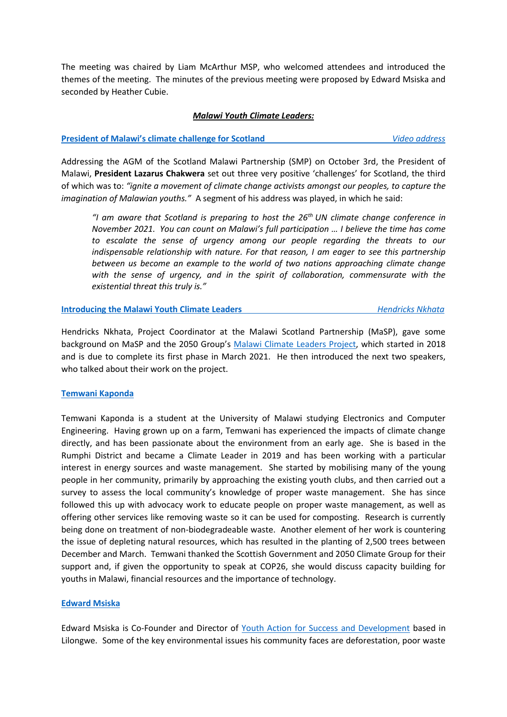The meeting was chaired by Liam McArthur MSP, who welcomed attendees and introduced the themes of the meeting. The minutes of the previous meeting were proposed by Edward Msiska and seconded by Heather Cubie.

#### *Malawi Youth Climate Leaders:*

#### **[President of Malawi's climate challenge for Scotland](https://www.youtube.com/watch?v=VMfiT0ghwig&t=156s)** *Video address*

Addressing the AGM of the Scotland Malawi Partnership (SMP) on October 3rd, the President of Malawi, **President Lazarus Chakwera** set out three very positive 'challenges' for Scotland, the third of which was to: *"ignite a movement of climate change activists amongst our peoples, to capture the imagination of Malawian youths."* A segment of his address was played, in which he said:

*"I am aware that Scotland is preparing to host the 26th UN climate change conference in November 2021. You can count on Malawi's full participation … I believe the time has come to escalate the sense of urgency among our people regarding the threats to our indispensable relationship with nature. For that reason, I am eager to see this partnership between us become an example to the world of two nations approaching climate change with the sense of urgency, and in the spirit of collaboration, commensurate with the existential threat this truly is."*

**[Introducing the Malawi](https://www.youtube.com/watch?v=VMfiT0ghwig&t=322s) Youth Climate Leaders** *Hendricks Nkhata*

Hendricks Nkhata, Project Coordinator at the Malawi Scotland Partnership (MaSP), gave some background on MaSP and the 2050 Group's [Malawi Climate Leaders](https://www.2050.scot/malawi) Project, which started in 2018 and is due to complete its first phase in March 2021. He then introduced the next two speakers, who talked about their work on the project.

#### **[Temwani Kaponda](https://www.youtube.com/watch?v=VMfiT0ghwig&t=878s)**

Temwani Kaponda is a student at the University of Malawi studying Electronics and Computer Engineering. Having grown up on a farm, Temwani has experienced the impacts of climate change directly, and has been passionate about the environment from an early age. She is based in the Rumphi District and became a Climate Leader in 2019 and has been working with a particular interest in energy sources and waste management. She started by mobilising many of the young people in her community, primarily by approaching the existing youth clubs, and then carried out a survey to assess the local community's knowledge of proper waste management. She has since followed this up with advocacy work to educate people on proper waste management, as well as offering other services like removing waste so it can be used for composting. Research is currently being done on treatment of non-biodegradeable waste. Another element of her work is countering the issue of depleting natural resources, which has resulted in the planting of 2,500 trees between December and March. Temwani thanked the Scottish Government and 2050 Climate Group for their support and, if given the opportunity to speak at COP26, she would discuss capacity building for youths in Malawi, financial resources and the importance of technology.

#### **[Edward Msiska](https://www.youtube.com/watch?v=VMfiT0ghwig&t=1630s)**

Edward Msiska is Co-Founder and Director of [Youth Action for Success and Development](https://m.facebook.com/Youth-Action-For-Success-and-Development-112067723604448/about/?ref=page_internal&mt_nav=0) based in Lilongwe. Some of the key environmental issues his community faces are deforestation, poor waste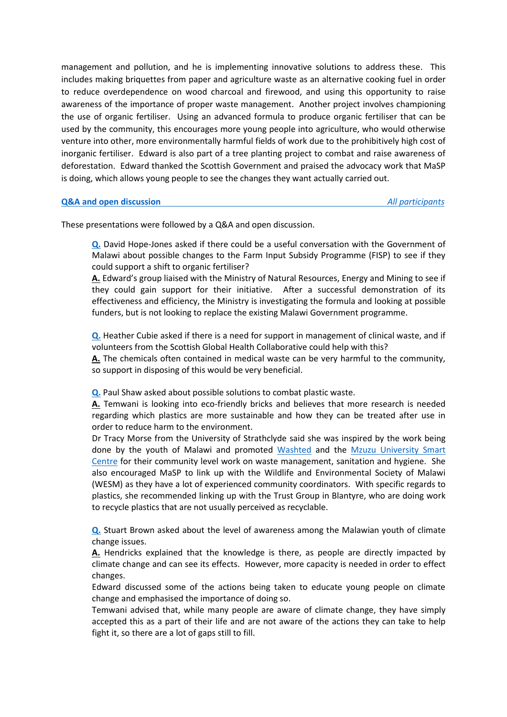management and pollution, and he is implementing innovative solutions to address these. This includes making briquettes from paper and agriculture waste as an alternative cooking fuel in order to reduce overdependence on wood charcoal and firewood, and using this opportunity to raise awareness of the importance of proper waste management. Another project involves championing the use of organic fertiliser. Using an advanced formula to produce organic fertiliser that can be used by the community, this encourages more young people into agriculture, who would otherwise venture into other, more environmentally harmful fields of work due to the prohibitively high cost of inorganic fertiliser. Edward is also part of a tree planting project to combat and raise awareness of deforestation. Edward thanked the Scottish Government and praised the advocacy work that MaSP is doing, which allows young people to see the changes they want actually carried out.

#### **[Q&A and open discussion](https://www.youtube.com/watch?v=VMfiT0ghwig&t=2347s)** *All participants*

These presentations were followed by a Q&A and open discussion.

**[Q.](https://youtu.be/VMfiT0ghwig?t=2355)** David Hope-Jones asked if there could be a useful conversation with the Government of Malawi about possible changes to the Farm Input Subsidy Programme (FISP) to see if they could support a shift to organic fertiliser?

**A.** Edward's group liaised with the Ministry of Natural Resources, Energy and Mining to see if they could gain support for their initiative. After a successful demonstration of its effectiveness and efficiency, the Ministry is investigating the formula and looking at possible funders, but is not looking to replace the existing Malawi Government programme.

**[Q.](https://youtu.be/VMfiT0ghwig?t=2505)** Heather Cubie asked if there is a need for support in management of clinical waste, and if volunteers from the Scottish Global Health Collaborative could help with this?

**A.** The chemicals often contained in medical waste can be very harmful to the community, so support in disposing of this would be very beneficial.

**[Q.](https://youtu.be/VMfiT0ghwig?t=2678)** Paul Shaw asked about possible solutions to combat plastic waste.

**A.** Temwani is looking into eco-friendly bricks and believes that more research is needed regarding which plastics are more sustainable and how they can be treated after use in order to reduce harm to the environment.

Dr Tracy Morse from the University of Strathclyde said she was inspired by the work being done by the youth of Malawi and promoted [Washted](http://www.washted.mw/) and the Mzuzu University Smart [Centre](http://www.mzuzusmartcentre.com/) for their community level work on waste management, sanitation and hygiene. She also encouraged MaSP to link up with the Wildlife and Environmental Society of Malawi (WESM) as they have a lot of experienced community coordinators. With specific regards to plastics, she recommended linking up with the Trust Group in Blantyre, who are doing work to recycle plastics that are not usually perceived as recyclable.

**[Q.](https://youtu.be/VMfiT0ghwig?t=2934)** Stuart Brown asked about the level of awareness among the Malawian youth of climate change issues.

**A.** Hendricks explained that the knowledge is there, as people are directly impacted by climate change and can see its effects. However, more capacity is needed in order to effect changes.

Edward discussed some of the actions being taken to educate young people on climate change and emphasised the importance of doing so.

Temwani advised that, while many people are aware of climate change, they have simply accepted this as a part of their life and are not aware of the actions they can take to help fight it, so there are a lot of gaps still to fill.